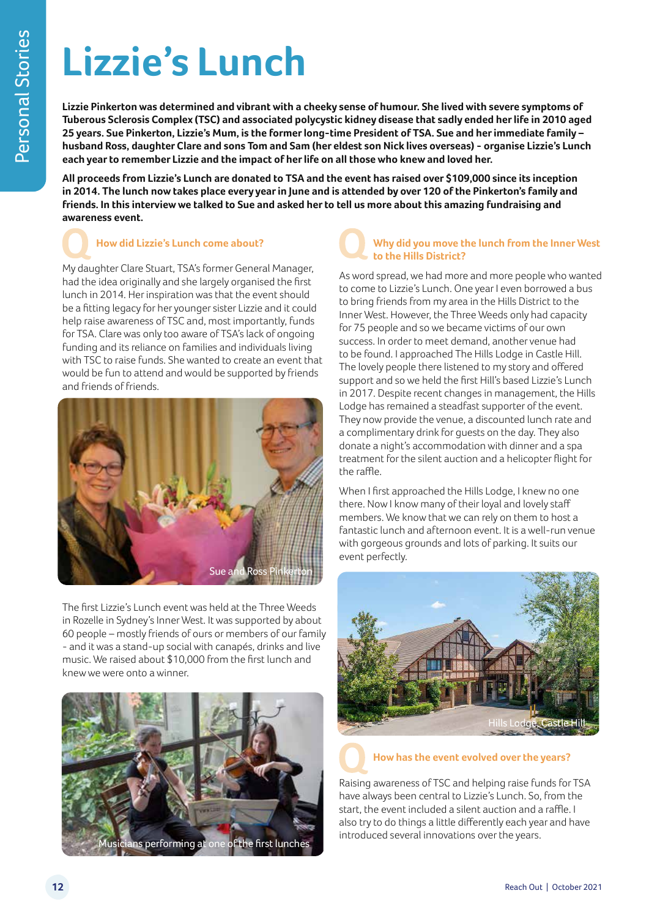# **Lizzie's Lunch**

**Lizzie Pinkerton was determined and vibrant with a cheeky sense of humour. She lived with severe symptoms of Tuberous Sclerosis Complex (TSC) and associated polycystic kidney disease that sadly ended her life in 2010 aged 25 years. Sue Pinkerton, Lizzie's Mum, is the former long-time President of TSA. Sue and her immediate family – husband Ross, daughter Clare and sons Tom and Sam (her eldest son Nick lives overseas) - organise Lizzie's Lunch each year to remember Lizzie and the impact of her life on all those who knew and loved her.** 

**All proceeds from Lizzie's Lunch are donated to TSA and the event has raised over \$109,000 since its inception in 2014. The lunch now takes place every year in June and is attended by over 120 of the Pinkerton's family and friends. In this interview we talked to Sue and asked her to tell us more about this amazing fundraising and awareness event.** 

## **How did Lizzie's Lunch come about?**

My daughter Clare Stuart, TSA's former General Manager, had the idea originally and she largely organised the first lunch in 2014. Her inspiration was that the event should be a fitting legacy for her younger sister Lizzie and it could help raise awareness of TSC and, most importantly, funds for TSA. Clare was only too aware of TSA's lack of ongoing funding and its reliance on families and individuals living with TSC to raise funds. She wanted to create an event that would be fun to attend and would be supported by friends and friends of friends.



The first Lizzie's Lunch event was held at the Three Weeds in Rozelle in Sydney's Inner West. It was supported by about 60 people – mostly friends of ours or members of our family - and it was a stand-up social with canapés, drinks and live music. We raised about \$10,000 from the first lunch and knew we were onto a winner.



## **Why did you move the lunch from the Inner West to the Hills District?**

As word spread, we had more and more people who wanted to come to Lizzie's Lunch. One year I even borrowed a bus to bring friends from my area in the Hills District to the Inner West. However, the Three Weeds only had capacity for 75 people and so we became victims of our own success. In order to meet demand, another venue had to be found. I approached The Hills Lodge in Castle Hill. The lovely people there listened to my story and offered support and so we held the first Hill's based Lizzie's Lunch in 2017. Despite recent changes in management, the Hills Lodge has remained a steadfast supporter of the event. They now provide the venue, a discounted lunch rate and a complimentary drink for guests on the day. They also donate a night's accommodation with dinner and a spa treatment for the silent auction and a helicopter flight for the raffle.

When I first approached the Hills Lodge, I knew no one there. Now I know many of their loyal and lovely staff members. We know that we can rely on them to host a fantastic lunch and afternoon event. It is a well-run venue with gorgeous grounds and lots of parking. It suits our event perfectly.



### **How has the event evolved over the years?**

Raising awareness of TSC and helping raise funds for TSA have always been central to Lizzie's Lunch. So, from the start, the event included a silent auction and a raffle. I also try to do things a little differently each year and have introduced several innovations over the years.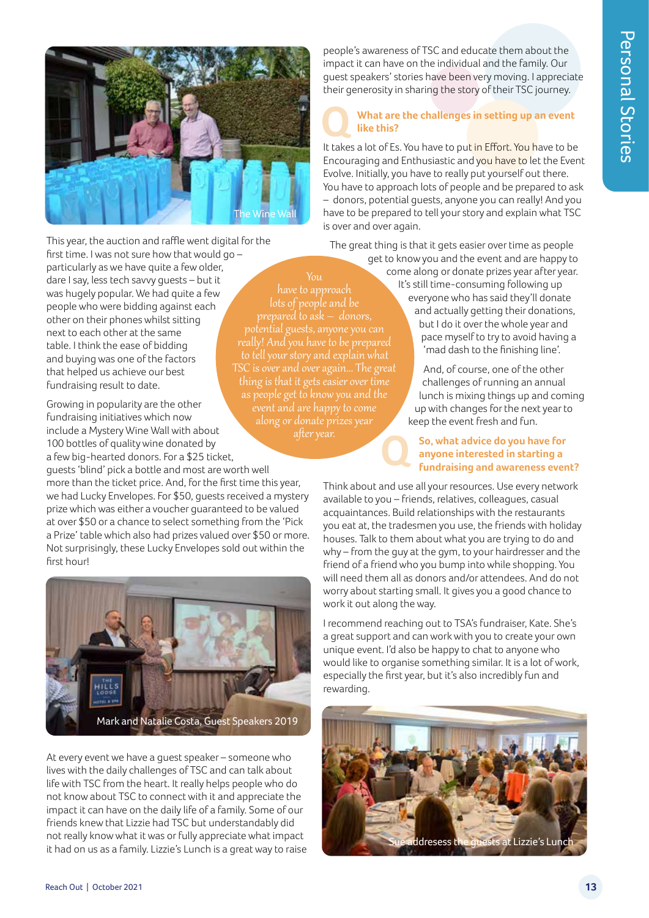

This year, the auction and raffle went digital for the

first time. I was not sure how that would go – particularly as we have quite a few older, dare I say, less tech savvy guests – but it was hugely popular. We had quite a few people who were bidding against each other on their phones whilst sitting next to each other at the same table. I think the ease of bidding and buying was one of the factors that helped us achieve our best fundraising result to date.

Growing in popularity are the other fundraising initiatives which now include a Mystery Wine Wall with about 100 bottles of quality wine donated by a few big-hearted donors. For a \$25 ticket,

guests 'blind' pick a bottle and most are worth well more than the ticket price. And, for the first time this year, we had Lucky Envelopes. For \$50, guests received a mystery prize which was either a voucher guaranteed to be valued at over \$50 or a chance to select something from the 'Pick a Prize' table which also had prizes valued over \$50 or more. Not surprisingly, these Lucky Envelopes sold out within the first hour!



At every event we have a guest speaker – someone who lives with the daily challenges of TSC and can talk about life with TSC from the heart. It really helps people who do not know about TSC to connect with it and appreciate the impact it can have on the daily life of a family. Some of our friends knew that Lizzie had TSC but understandably did not really know what it was or fully appreciate what impact it had on us as a family. Lizzie's Lunch is a great way to raise

people's awareness of TSC and educate them about the impact it can have on the individual and the family. Our guest speakers' stories have been very moving. I appreciate their generosity in sharing the story of their TSC journey.

#### **What are the challenges in setting up an event like this?**

It takes a lot of Es. You have to put in Effort. You have to be Encouraging and Enthusiastic and you have to let the Event Evolve. Initially, you have to really put yourself out there. You have to approach lots of people and be prepared to ask – donors, potential guests, anyone you can really! And you have to be prepared to tell your story and explain what TSC is over and over again.

The great thing is that it gets easier over time as people

have to approach

potential guests, anyone you can

TSC is over and over again... The great thing is that it gets easier over time as people get to know you and the event and are happy to come

get to know you and the event and are happy to come along or donate prizes year after year. It's still time-consuming following up everyone who has said they'll donate and actually getting their donations, but I do it over the whole year and pace myself to try to avoid having a 'mad dash to the finishing line'.

> And, of course, one of the other challenges of running an annual lunch is mixing things up and coming up with changes for the next year to keep the event fresh and fun.

**So, what advice do you have for anyone interested in starting a fundraising and awareness event?**

Think about and use all your resources. Use every network available to you – friends, relatives, colleagues, casual acquaintances. Build relationships with the restaurants you eat at, the tradesmen you use, the friends with holiday houses. Talk to them about what you are trying to do and why – from the guy at the gym, to your hairdresser and the friend of a friend who you bump into while shopping. You will need them all as donors and/or attendees. And do not worry about starting small. It gives you a good chance to work it out along the way.

I recommend reaching out to TSA's fundraiser, Kate. She's a great support and can work with you to create your own unique event. I'd also be happy to chat to anyone who would like to organise something similar. It is a lot of work, especially the first year, but it's also incredibly fun and rewarding.